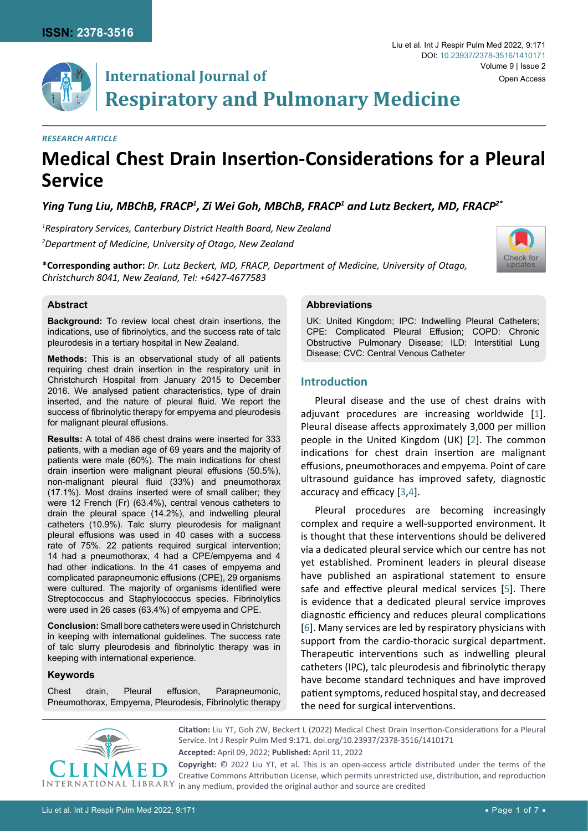# **International Journal of Respiratory and Pulmonary Medicine**

#### *Research Article*

## **Medical Chest Drain Insertion-Considerations for a Pleural Service**

Ying Tung Liu, MBChB, FRACP<sup>1</sup>, Zi Wei Goh, MBChB, FRACP<sup>1</sup> and Lutz Beckert, MD, FRACP<sup>2\*</sup>

*1 Respiratory Services, Canterbury District Health Board, New Zealand 2 Department of Medicine, University of Otago, New Zealand*

**\*Corresponding author:** *Dr. Lutz Beckert, MD, FRACP, Department of Medicine, University of Otago, Christchurch 8041, New Zealand, Tel: +6427-4677583*



#### **Abstract**

**Background:** To review local chest drain insertions, the indications, use of fibrinolytics, and the success rate of talc pleurodesis in a tertiary hospital in New Zealand.

**Methods:** This is an observational study of all patients requiring chest drain insertion in the respiratory unit in Christchurch Hospital from January 2015 to December 2016. We analysed patient characteristics, type of drain inserted, and the nature of pleural fluid. We report the success of fibrinolytic therapy for empyema and pleurodesis for malignant pleural effusions.

**Results:** A total of 486 chest drains were inserted for 333 patients, with a median age of 69 years and the majority of patients were male (60%). The main indications for chest drain insertion were malignant pleural effusions (50.5%), non-malignant pleural fluid (33%) and pneumothorax (17.1%). Most drains inserted were of small caliber; they were 12 French (Fr) (63.4%), central venous catheters to drain the pleural space (14.2%), and indwelling pleural catheters (10.9%). Talc slurry pleurodesis for malignant pleural effusions was used in 40 cases with a success rate of 75%. 22 patients required surgical intervention; 14 had a pneumothorax, 4 had a CPE/empyema and 4 had other indications. In the 41 cases of empyema and complicated parapneumonic effusions (CPE), 29 organisms were cultured. The majority of organisms identified were Streptococcus and Staphylococcus species. Fibrinolytics were used in 26 cases (63.4%) of empyema and CPE.

**Conclusion:** Small bore catheters were used in Christchurch in keeping with international guidelines. The success rate of talc slurry pleurodesis and fibrinolytic therapy was in keeping with international experience.

#### **Keywords**

Chest drain, Pleural effusion, Parapneumonic, Pneumothorax, Empyema, Pleurodesis, Fibrinolytic therapy

#### **Abbreviations**

UK: United Kingdom; IPC: Indwelling Pleural Catheters; CPE: Complicated Pleural Effusion; COPD: Chronic Obstructive Pulmonary Disease; ILD: Interstitial Lung Disease; CVC: Central Venous Catheter

## **Introduction**

Pleural disease and the use of chest drains with adjuvant procedures are increasing worldwide [\[1](#page-5-0)]. Pleural disease affects approximately 3,000 per million people in the United Kingdom (UK) [[2](#page-5-1)]. The common indications for chest drain insertion are malignant effusions, pneumothoraces and empyema. Point of care ultrasound guidance has improved safety, diagnostic accuracy and efficacy [\[3](#page-5-2),[4](#page-6-0)].

Pleural procedures are becoming increasingly complex and require a well-supported environment. It is thought that these interventions should be delivered via a dedicated pleural service which our centre has not yet established. Prominent leaders in pleural disease have published an aspirational statement to ensure safe and effective pleural medical services [[5](#page-6-1)]. There is evidence that a dedicated pleural service improves diagnostic efficiency and reduces pleural complications [\[6\]](#page-6-2). Many services are led by respiratory physicians with support from the cardio-thoracic surgical department. Therapeutic interventions such as indwelling pleural catheters (IPC), talc pleurodesis and fibrinolytic therapy have become standard techniques and have improved patient symptoms, reduced hospital stay, and decreased the need for surgical interventions.



**Citation:** Liu YT, Goh ZW, Beckert L (2022) Medical Chest Drain Insertion-Considerations for a Pleural Service. Int J Respir Pulm Med 9:171. [doi.org/10.23937/2378-3516/1410171](https://doi.org/10.23937/2378-3516/1410171) **Accepted:** April 09, 2022; **Published:** April 11, 2022

**Copyright:** © 2022 Liu YT, et al. This is an open-access article distributed under the terms of the Creative Commons Attribution License, which permits unrestricted use, distribution, and reproduction  $LIBRARY$  in any medium, provided the original author and source are credited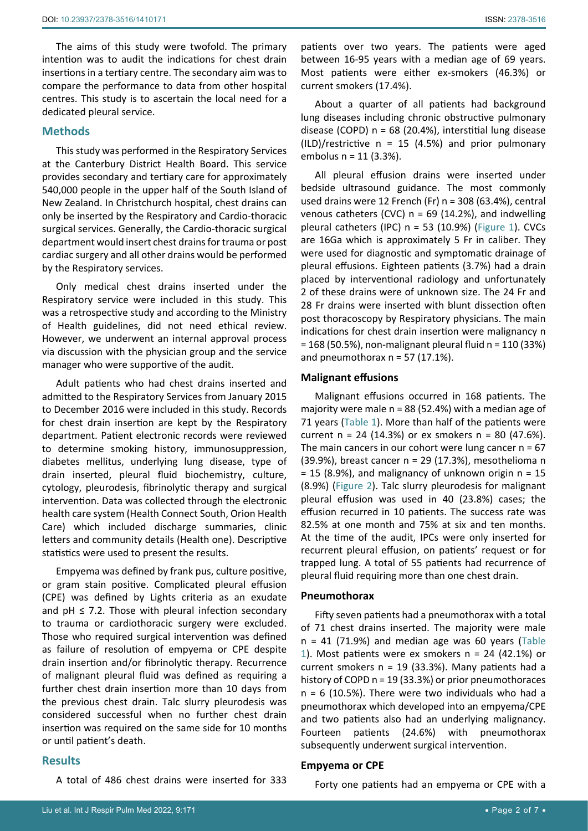The aims of this study were twofold. The primary intention was to audit the indications for chest drain insertions in a tertiary centre. The secondary aim was to compare the performance to data from other hospital centres. This study is to ascertain the local need for a dedicated pleural service.

#### **Methods**

This study was performed in the Respiratory Services at the Canterbury District Health Board. This service provides secondary and tertiary care for approximately 540,000 people in the upper half of the South Island of New Zealand. In Christchurch hospital, chest drains can only be inserted by the Respiratory and Cardio-thoracic surgical services. Generally, the Cardio-thoracic surgical department would insert chest drains for trauma or post cardiac surgery and all other drains would be performed by the Respiratory services.

Only medical chest drains inserted under the Respiratory service were included in this study. This was a retrospective study and according to the Ministry of Health guidelines, did not need ethical review. However, we underwent an internal approval process via discussion with the physician group and the service manager who were supportive of the audit.

Adult patients who had chest drains inserted and admitted to the Respiratory Services from January 2015 to December 2016 were included in this study. Records for chest drain insertion are kept by the Respiratory department. Patient electronic records were reviewed to determine smoking history, immunosuppression, diabetes mellitus, underlying lung disease, type of drain inserted, pleural fluid biochemistry, culture, cytology, pleurodesis, fibrinolytic therapy and surgical intervention. Data was collected through the electronic health care system (Health Connect South, Orion Health Care) which included discharge summaries, clinic letters and community details (Health one). Descriptive statistics were used to present the results.

Empyema was defined by frank pus, culture positive, or gram stain positive. Complicated pleural effusion (CPE) was defined by Lights criteria as an exudate and  $pH \leq 7.2$ . Those with pleural infection secondary to trauma or cardiothoracic surgery were excluded. Those who required surgical intervention was defined as failure of resolution of empyema or CPE despite drain insertion and/or fibrinolytic therapy. Recurrence of malignant pleural fluid was defined as requiring a further chest drain insertion more than 10 days from the previous chest drain. Talc slurry pleurodesis was considered successful when no further chest drain insertion was required on the same side for 10 months or until patient's death.

## **Results**

A total of 486 chest drains were inserted for 333

patients over two years. The patients were aged between 16-95 years with a median age of 69 years. Most patients were either ex-smokers (46.3%) or current smokers (17.4%).

About a quarter of all patients had background lung diseases including chronic obstructive pulmonary disease (COPD) n = 68 (20.4%), interstitial lung disease  $(ILD)/restrictive n = 15 (4.5%) and prior pulmonary$ embolus n = 11 (3.3%).

All pleural effusion drains were inserted under bedside ultrasound guidance. The most commonly used drains were 12 French (Fr)  $n = 308$  (63.4%), central venous catheters (CVC)  $n = 69$  (14.2%), and indwelling pleural catheters (IPC)  $n = 53$  (10.9%) ([Figure 1](#page-2-0)). CVCs are 16Ga which is approximately 5 Fr in caliber. They were used for diagnostic and symptomatic drainage of pleural effusions. Eighteen patients (3.7%) had a drain placed by interventional radiology and unfortunately 2 of these drains were of unknown size. The 24 Fr and 28 Fr drains were inserted with blunt dissection often post thoracoscopy by Respiratory physicians. The main indications for chest drain insertion were malignancy n = 168 (50.5%), non-malignant pleural fluid n = 110 (33%) and pneumothorax  $n = 57$  (17.1%).

#### **Malignant effusions**

Malignant effusions occurred in 168 patients. The majority were male  $n = 88$  (52.4%) with a median age of 71 years ([Table 1\)](#page-2-1). More than half of the patients were current  $n = 24$  (14.3%) or ex smokers  $n = 80$  (47.6%). The main cancers in our cohort were lung cancer  $n = 67$ (39.9%), breast cancer n = 29 (17.3%), mesothelioma n  $= 15$  (8.9%), and malignancy of unknown origin  $n = 15$ (8.9%) ([Figure 2\)](#page-3-0). Talc slurry pleurodesis for malignant pleural effusion was used in 40 (23.8%) cases; the effusion recurred in 10 patients. The success rate was 82.5% at one month and 75% at six and ten months. At the time of the audit, IPCs were only inserted for recurrent pleural effusion, on patients' request or for trapped lung. A total of 55 patients had recurrence of pleural fluid requiring more than one chest drain.

#### **Pneumothorax**

Fifty seven patients had a pneumothorax with a total of 71 chest drains inserted. The majority were male  $n = 41$  (71.9%) and median age was 60 years (Table [1](#page-2-1)). Most patients were ex smokers  $n = 24$  (42.1%) or current smokers  $n = 19$  (33.3%). Many patients had a history of COPD n = 19 (33.3%) or prior pneumothoraces  $n = 6$  (10.5%). There were two individuals who had a pneumothorax which developed into an empyema/CPE and two patients also had an underlying malignancy. Fourteen patients (24.6%) with pneumothorax subsequently underwent surgical intervention.

## **Empyema or CPE**

Forty one patients had an empyema or CPE with a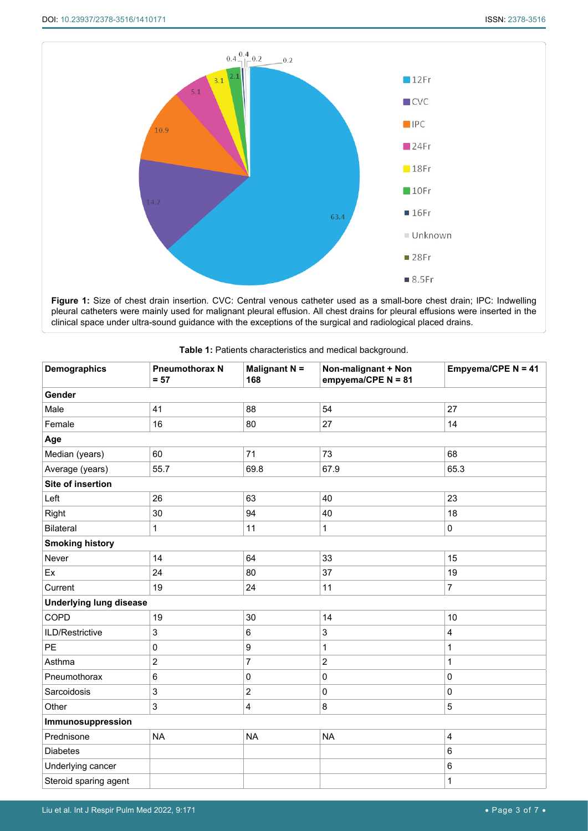<span id="page-2-0"></span>

**Figure 1:** Size of chest drain insertion. CVC: Central venous catheter used as a small-bore chest drain; IPC: Indwelling pleural catheters were mainly used for malignant pleural effusion. All chest drains for pleural effusions were inserted in the clinical space under ultra-sound guidance with the exceptions of the surgical and radiological placed drains.

| <b>Demographics</b>            | <b>Pneumothorax N</b><br>$= 57$ | Malignant N =<br>168 | Non-malignant + Non<br>empyema/CPE $N = 81$ | Empyema/CPE N = 41 |  |  |  |  |  |
|--------------------------------|---------------------------------|----------------------|---------------------------------------------|--------------------|--|--|--|--|--|
| Gender                         |                                 |                      |                                             |                    |  |  |  |  |  |
| Male                           | 41                              | 88                   | 54                                          | 27                 |  |  |  |  |  |
| Female                         | 16                              | 80                   | 27                                          | 14                 |  |  |  |  |  |
| Age                            |                                 |                      |                                             |                    |  |  |  |  |  |
| Median (years)                 | 60                              | 71                   | 73                                          | 68                 |  |  |  |  |  |
| Average (years)                | 55.7                            | 69.8                 | 67.9                                        | 65.3               |  |  |  |  |  |
| Site of insertion              |                                 |                      |                                             |                    |  |  |  |  |  |
| Left                           | 26                              | 63                   | 40                                          | 23                 |  |  |  |  |  |
| Right                          | 30                              | 94                   | 40                                          | 18                 |  |  |  |  |  |
| <b>Bilateral</b>               | $\mathbf{1}$                    | 11                   | 1                                           | $\mathbf 0$        |  |  |  |  |  |
| <b>Smoking history</b>         |                                 |                      |                                             |                    |  |  |  |  |  |
| Never                          | 14                              | 64                   | 33                                          | 15                 |  |  |  |  |  |
| Ex                             | 24                              | 80                   | 37                                          | 19                 |  |  |  |  |  |
| Current                        | 19                              | 24                   | 11                                          | 7                  |  |  |  |  |  |
| <b>Underlying lung disease</b> |                                 |                      |                                             |                    |  |  |  |  |  |
| COPD                           | 19                              | 30                   | 14                                          | 10                 |  |  |  |  |  |
| ILD/Restrictive                | $\mathsf 3$                     | 6                    | 3                                           | 4                  |  |  |  |  |  |
| PE                             | 0                               | 9                    | 1                                           | $\mathbf{1}$       |  |  |  |  |  |
| Asthma                         | $\overline{c}$                  | 7                    | $\overline{c}$                              | 1                  |  |  |  |  |  |
| Pneumothorax                   | 6                               | $\mathbf 0$          | $\pmb{0}$                                   | $\pmb{0}$          |  |  |  |  |  |
| Sarcoidosis                    | 3                               | $\overline{c}$       | $\mathbf 0$<br>$\pmb{0}$                    |                    |  |  |  |  |  |
| Other                          | $\mathsf 3$                     | $\overline{4}$       | 8                                           | $\overline{5}$     |  |  |  |  |  |
| Immunosuppression              |                                 |                      |                                             |                    |  |  |  |  |  |
| Prednisone                     | <b>NA</b>                       | <b>NA</b>            | <b>NA</b>                                   | $\overline{4}$     |  |  |  |  |  |
| <b>Diabetes</b>                |                                 |                      |                                             | $\,6\,$            |  |  |  |  |  |
| Underlying cancer              |                                 |                      |                                             | $\,6\,$            |  |  |  |  |  |
| Steroid sparing agent          |                                 |                      |                                             | 1                  |  |  |  |  |  |

<span id="page-2-1"></span>

| Table 1: Patients characteristics and medical background. |  |
|-----------------------------------------------------------|--|
|-----------------------------------------------------------|--|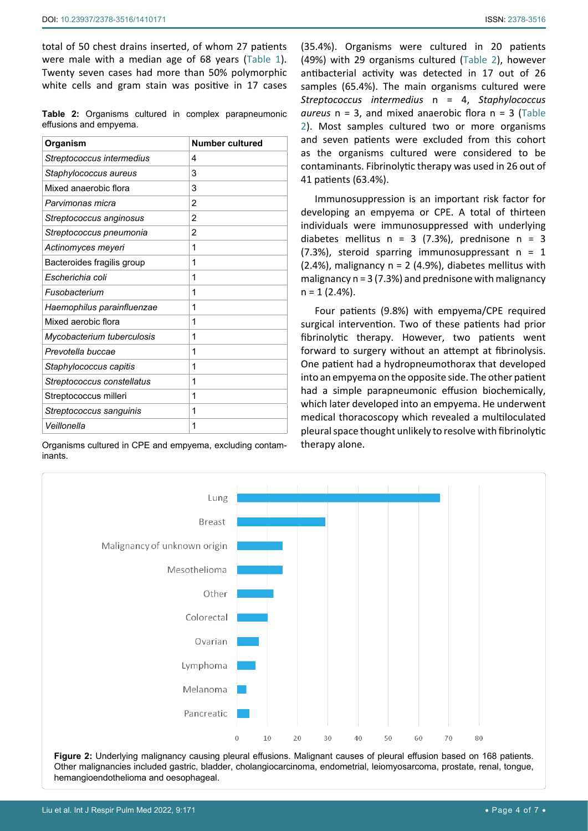total of 50 chest drains inserted, of whom 27 patients were male with a median age of 68 years ([Table 1](#page-2-1)). Twenty seven cases had more than 50% polymorphic white cells and gram stain was positive in 17 cases

<span id="page-3-1"></span>**Table 2:** Organisms cultured in complex parapneumonic effusions and empyema.

| Organism                   | Number cultured |
|----------------------------|-----------------|
| Streptococcus intermedius  | 4               |
| Staphylococcus aureus      | 3               |
| Mixed anaerobic flora      | 3               |
| Parvimonas micra           | 2               |
| Streptococcus anginosus    | 2               |
| Streptococcus pneumonia    | 2               |
| Actinomyces meyeri         | 1               |
| Bacteroides fragilis group | 1               |
| Escherichia coli           | 1               |
| Fusobacterium              | 1               |
| Haemophilus parainfluenzae | 1               |
| Mixed aerobic flora        | 1               |
| Mycobacterium tuberculosis | 1               |
| Prevotella buccae          | 1               |
| Staphylococcus capitis     | 1               |
| Streptococcus constellatus | 1               |
| Streptococcus milleri      | 1               |
| Streptococcus sanguinis    | 1               |
| Veillonella                | 1               |

Organisms cultured in CPE and empyema, excluding contaminants.

(35.4%). Organisms were cultured in 20 patients (49%) with 29 organisms cultured [\(Table 2](#page-3-1)), however antibacterial activity was detected in 17 out of 26 samples (65.4%). The main organisms cultured were *Streptococcus intermedius* n = 4, *Staphylococcus aureus* n = 3, and mixed anaerobic flora n = 3 [\(Table](#page-3-1)  [2](#page-3-1)). Most samples cultured two or more organisms and seven patients were excluded from this cohort as the organisms cultured were considered to be contaminants. Fibrinolytic therapy was used in 26 out of 41 patients (63.4%).

Immunosuppression is an important risk factor for developing an empyema or CPE. A total of thirteen individuals were immunosuppressed with underlying diabetes mellitus  $n = 3$  (7.3%), prednisone  $n = 3$  $(7.3%)$ , steroid sparring immunosuppressant n = 1  $(2.4\%)$ , malignancy n = 2 (4.9%), diabetes mellitus with malignancy  $n = 3 (7.3%)$  and prednisone with malignancy  $n = 1 (2.4\%).$ 

Four patients (9.8%) with empyema/CPE required surgical intervention. Two of these patients had prior fibrinolytic therapy. However, two patients went forward to surgery without an attempt at fibrinolysis. One patient had a hydropneumothorax that developed into an empyema on the opposite side. The other patient had a simple parapneumonic effusion biochemically, which later developed into an empyema. He underwent medical thoracoscopy which revealed a multiloculated pleural space thought unlikely to resolve with fibrinolytic therapy alone.

<span id="page-3-0"></span>

**Figure 2:** Underlying malignancy causing pleural effusions. Malignant causes of pleural effusion based on 168 patients. Other malignancies included gastric, bladder, cholangiocarcinoma, endometrial, leiomyosarcoma, prostate, renal, tongue, hemangioendothelioma and oesophageal.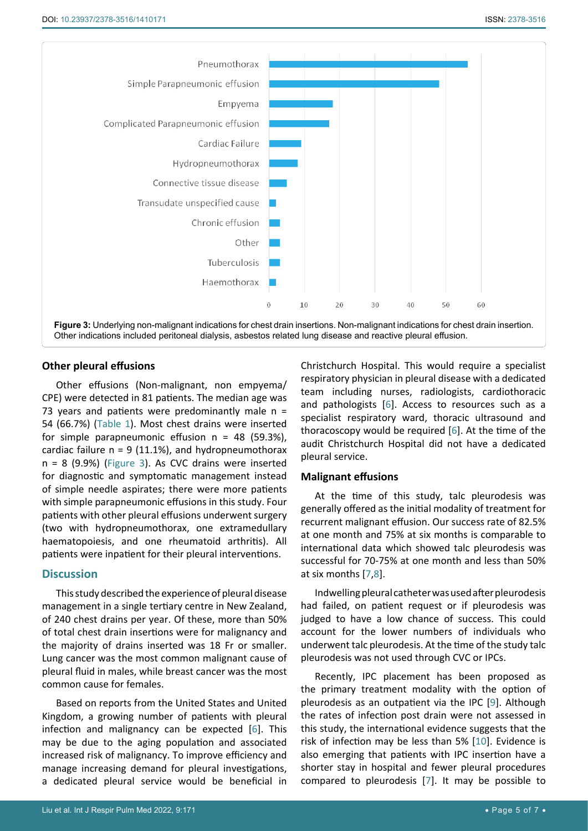<span id="page-4-0"></span>

## **Other pleural effusions**

Other effusions (Non-malignant, non empyema/ CPE) were detected in 81 patients. The median age was 73 years and patients were predominantly male  $n =$ 54 (66.7%) [\(Table 1](#page-2-1)). Most chest drains were inserted for simple parapneumonic effusion  $n = 48$  (59.3%), cardiac failure  $n = 9$  (11.1%), and hydropneumothorax  $n = 8$  (9.9%) ([Figure 3\)](#page-4-0). As CVC drains were inserted for diagnostic and symptomatic management instead of simple needle aspirates; there were more patients with simple parapneumonic effusions in this study. Four patients with other pleural effusions underwent surgery (two with hydropneumothorax, one extramedullary haematopoiesis, and one rheumatoid arthritis). All patients were inpatient for their pleural interventions.

## **Discussion**

This study described the experience of pleural disease management in a single tertiary centre in New Zealand, of 240 chest drains per year. Of these, more than 50% of total chest drain insertions were for malignancy and the majority of drains inserted was 18 Fr or smaller. Lung cancer was the most common malignant cause of pleural fluid in males, while breast cancer was the most common cause for females.

Based on reports from the United States and United Kingdom, a growing number of patients with pleural infection and malignancy can be expected [\[6](#page-6-2)]. This may be due to the aging population and associated increased risk of malignancy. To improve efficiency and manage increasing demand for pleural investigations, a dedicated pleural service would be beneficial in

Christchurch Hospital. This would require a specialist respiratory physician in pleural disease with a dedicated team including nurses, radiologists, cardiothoracic and pathologists [\[6](#page-6-2)]. Access to resources such as a specialist respiratory ward, thoracic ultrasound and thoracoscopy would be required [\[6\]](#page-6-2). At the time of the audit Christchurch Hospital did not have a dedicated pleural service.

#### **Malignant effusions**

At the time of this study, talc pleurodesis was generally offered as the initial modality of treatment for recurrent malignant effusion. Our success rate of 82.5% at one month and 75% at six months is comparable to international data which showed talc pleurodesis was successful for 70-75% at one month and less than 50% at six months [\[7](#page-6-3),[8](#page-6-4)].

Indwelling pleural catheter was used after pleurodesis had failed, on patient request or if pleurodesis was judged to have a low chance of success. This could account for the lower numbers of individuals who underwent talc pleurodesis. At the time of the study talc pleurodesis was not used through CVC or IPCs.

Recently, IPC placement has been proposed as the primary treatment modality with the option of pleurodesis as an outpatient via the IPC [\[9](#page-6-5)]. Although the rates of infection post drain were not assessed in this study, the international evidence suggests that the risk of infection may be less than 5% [[10\]](#page-6-6). Evidence is also emerging that patients with IPC insertion have a shorter stay in hospital and fewer pleural procedures compared to pleurodesis [[7\]](#page-6-3). It may be possible to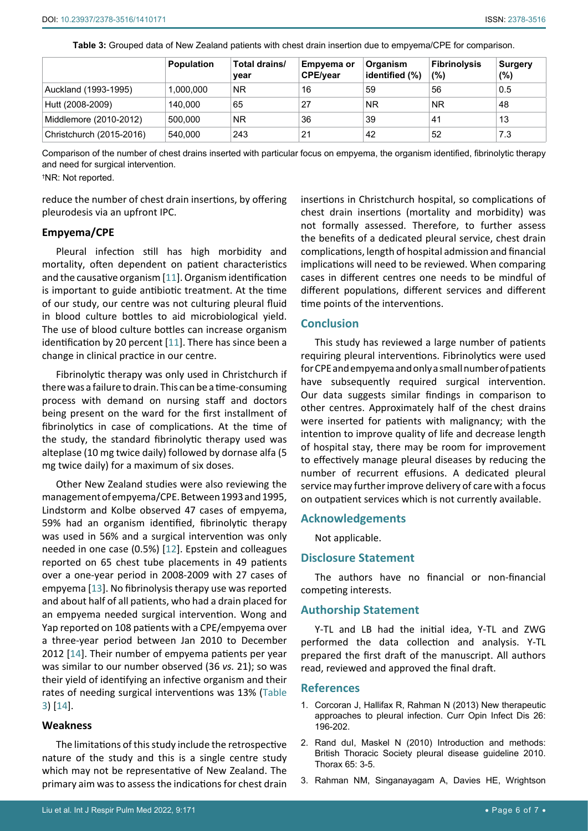|                          | <b>Population</b> | Total drains/<br>year | Empyema or<br><b>CPE/year</b> | Organism<br>identified (%) | <b>Fibrinolysis</b><br>$(\%)$ | <b>Surgery</b><br>$(\%)$ |
|--------------------------|-------------------|-----------------------|-------------------------------|----------------------------|-------------------------------|--------------------------|
| Auckland (1993-1995)     | 1.000.000         | <b>NR</b>             | 16                            | 59                         | 56                            | 0.5                      |
| Hutt (2008-2009)         | 140.000           | 65                    | 27                            | <b>NR</b>                  | <b>NR</b>                     | 48                       |
| Middlemore (2010-2012)   | 500.000           | <b>NR</b>             | 36                            | 39                         | 41                            | 13                       |
| Christchurch (2015-2016) | 540.000           | 243                   | 21                            | 42                         | 52                            | 7.3                      |

<span id="page-5-3"></span>**Table 3:** Grouped data of New Zealand patients with chest drain insertion due to empyema/CPE for comparison.

Comparison of the number of chest drains inserted with particular focus on empyema, the organism identified, fibrinolytic therapy and need for surgical intervention.

† NR: Not reported.

reduce the number of chest drain insertions, by offering pleurodesis via an upfront IPC.

#### **Empyema/CPE**

Pleural infection still has high morbidity and mortality, often dependent on patient characteristics and the causative organism [[11\]](#page-6-7). Organism identification is important to guide antibiotic treatment. At the time of our study, our centre was not culturing pleural fluid in blood culture bottles to aid microbiological yield. The use of blood culture bottles can increase organism identification by 20 percent [\[11\]](#page-6-7). There has since been a change in clinical practice in our centre.

Fibrinolytic therapy was only used in Christchurch if there was a failure to drain. This can be a time-consuming process with demand on nursing staff and doctors being present on the ward for the first installment of fibrinolytics in case of complications. At the time of the study, the standard fibrinolytic therapy used was alteplase (10 mg twice daily) followed by dornase alfa (5 mg twice daily) for a maximum of six doses.

Other New Zealand studies were also reviewing the management of empyema/CPE. Between 1993 and 1995, Lindstorm and Kolbe observed 47 cases of empyema, 59% had an organism identified, fibrinolytic therapy was used in 56% and a surgical intervention was only needed in one case (0.5%) [[12\]](#page-6-8). Epstein and colleagues reported on 65 chest tube placements in 49 patients over a one-year period in 2008-2009 with 27 cases of empyema [\[13\]](#page-6-9). No fibrinolysis therapy use was reported and about half of all patients, who had a drain placed for an empyema needed surgical intervention. Wong and Yap reported on 108 patients with a CPE/empyema over a three-year period between Jan 2010 to December 2012 [[14](#page-6-10)]. Their number of empyema patients per year was similar to our number observed (36 *vs.* 21); so was their yield of identifying an infective organism and their rates of needing surgical interventions was 13% [\(Table](#page-5-3)  [3](#page-5-3)) [\[14](#page-6-10)].

#### **Weakness**

The limitations of this study include the retrospective nature of the study and this is a single centre study which may not be representative of New Zealand. The primary aim was to assess the indications for chest drain insertions in Christchurch hospital, so complications of chest drain insertions (mortality and morbidity) was not formally assessed. Therefore, to further assess the benefits of a dedicated pleural service, chest drain complications, length of hospital admission and financial implications will need to be reviewed. When comparing cases in different centres one needs to be mindful of different populations, different services and different time points of the interventions.

#### **Conclusion**

This study has reviewed a large number of patients requiring pleural interventions. Fibrinolytics were used for CPE and empyema and only a small number of patients have subsequently required surgical intervention. Our data suggests similar findings in comparison to other centres. Approximately half of the chest drains were inserted for patients with malignancy; with the intention to improve quality of life and decrease length of hospital stay, there may be room for improvement to effectively manage pleural diseases by reducing the number of recurrent effusions. A dedicated pleural service may further improve delivery of care with a focus on outpatient services which is not currently available.

#### **Acknowledgements**

Not applicable.

## **Disclosure Statement**

The authors have no financial or non-financial competing interests.

#### **Authorship Statement**

Y-TL and LB had the initial idea, Y-TL and ZWG performed the data collection and analysis. Y-TL prepared the first draft of the manuscript. All authors read, reviewed and approved the final draft.

#### **References**

- <span id="page-5-0"></span>1. [Corcoran J, Hallifax R, Rahman N \(2013\) New therapeutic](https://pubmed.ncbi.nlm.nih.gov/23286936/)  [approaches to pleural infection. Curr Opin Infect Dis 26:](https://pubmed.ncbi.nlm.nih.gov/23286936/)  [196-202.](https://pubmed.ncbi.nlm.nih.gov/23286936/)
- <span id="page-5-1"></span>2. Rand dul, Maskel N (2010) Introduction and methods: [British Thoracic Society pleural disease guideline 2010.](https://thorax.bmj.com/content/65/Suppl_2/ii1)  [Thorax 65: 3-5.](https://thorax.bmj.com/content/65/Suppl_2/ii1)
- <span id="page-5-2"></span>3. [Rahman NM, Singanayagam A, Davies HE, Wrightson](https://pubmed.ncbi.nlm.nih.gov/20435870/)